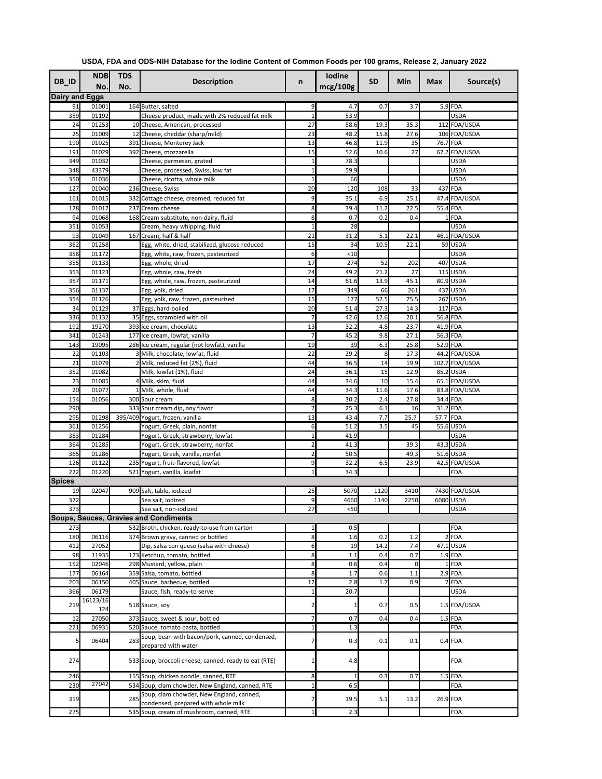| DB_ID                 | <b>NDB</b><br>No. | <b>TDS</b><br>No. | <b>Description</b>                                                                 | n              | <b>Iodine</b><br>mcg/100g | <b>SD</b>    | Min          | <b>Max</b>             | Source(s)                   |
|-----------------------|-------------------|-------------------|------------------------------------------------------------------------------------|----------------|---------------------------|--------------|--------------|------------------------|-----------------------------|
| <b>Dairy and Eggs</b> |                   |                   |                                                                                    |                |                           |              |              |                        |                             |
| 91                    | 01001             |                   | 164 Butter, salted                                                                 | 9              | 4.7                       | 0.7          | 3.7          |                        | 5.9 FDA                     |
| 359<br>24             | 01192<br>01253    |                   | Cheese product, made with 2% reduced fat milk<br>10 Cheese, American, processed    | 27             | 53.9<br>58.6              | 19.3         | 35.3         |                        | <b>USDA</b><br>112 FDA/USDA |
| 25                    | 01009             |                   | 12 Cheese, cheddar (sharp/mild)                                                    | 23             | 48.2                      | 15.8         | 27.6         |                        | 106 FDA/USDA                |
| 190                   | 01025             |                   | 391 Cheese, Monterey Jack                                                          | 13             | 46.8                      | 11.9         | 35           | 76.7 FDA               |                             |
| 191                   | 01029             |                   | 392 Cheese, mozzarella                                                             | 15             | 52.6                      | 10.6         | 27           |                        | 67.2 FDA/USDA               |
| 349                   | 01032             |                   | Cheese, parmesan, grated                                                           |                | 78.3                      |              |              |                        | <b>USDA</b>                 |
| 348                   | 43379             |                   | Cheese, processed, Swiss, low fat                                                  |                | 59.9                      |              |              |                        | <b>USDA</b>                 |
| 350                   | 01036             |                   | Cheese, ricotta, whole milk                                                        |                | 66                        |              |              |                        | <b>USDA</b>                 |
| 127                   | 01040             |                   | 236 Cheese, Swiss                                                                  | 20             | 120                       | 108          | 33           |                        | 437 FDA                     |
| 161                   | 01015             |                   | 332 Cottage cheese, creamed, reduced fat                                           | 9              | 35.1                      | 6.9          | 25.1         |                        | 47.4 FDA/USDA               |
| 128                   | 01017             |                   | 237 Cream cheese                                                                   | 8              | 39.4                      | 11.2         | 22.5         | 55.4 FDA               |                             |
| 94<br>351             | 01068<br>01053    |                   | 168 Cream substitute, non-dairy, fluid<br>Cream, heavy whipping, fluid             | 8              | 0.7<br>28                 | 0.2          | 0.4          |                        | $1$ FDA<br><b>USDA</b>      |
| 93                    | 01049             |                   | 167 Cream, half & half                                                             | 21             | 31.2                      | 5.1          | 22.1         |                        | 46.1 FDA/USDA               |
| 362                   | 01258             |                   | Egg, white, dried, stabilized, glucose reduced                                     | 15             | 34                        | 10.5         | 22.1         |                        | 59 USDA                     |
| 358                   | 01172             |                   | Egg, white, raw, frozen, pasteurized                                               | 6              | < 10                      |              |              |                        | <b>USDA</b>                 |
| 355                   | 01133             |                   | Egg, whole, dried                                                                  | 17             | 274                       | 52           | 202          |                        | 407 USDA                    |
| 353                   | 01123             |                   | Egg, whole, raw, fresh                                                             | 24             | 49.2                      | 21.2         | 27           |                        | $115$ USDA                  |
| 357                   | 01171             |                   | Egg, whole, raw, frozen, pasteurized                                               | 14             | 61.6                      | 13.9         | 45.1         |                        | 80.9 USDA                   |
| 356                   | 01137             |                   | Egg, yolk, dried                                                                   | 17             | 349                       | 66           | 261          |                        | 437 USDA                    |
| 354                   | 01126             |                   | Egg, yolk, raw, frozen, pasteurized                                                | 15             | 177                       | 52.5         | 75.5         |                        | 267 USDA                    |
| 34<br>336             | 01129<br>01132    |                   | 37 Eggs, hard-boiled<br>35 Eggs, scrambled with oil                                | 20<br>7        | 51.4<br>42.6              | 27.3<br>12.6 | 14.3<br>20.1 | 56.8 FDA               | 117 FDA                     |
| 192                   | 19270             |                   | 393 Ice cream, chocolate                                                           | 13             | 32.2                      | 4.8          | 23.7         | 41.9 FDA               |                             |
| 341                   | 01243             |                   | 177 Ice cream, lowfat, vanilla                                                     | 7              | 45.2                      | 9.8          | 27.1         | 56.3 FDA               |                             |
| 143                   | 19095             |                   | 286 Ice cream, regular (not lowfat), vanilla                                       | 19             | 39                        | 6.3          | 25.8         | 52.9 FDA               |                             |
| 22                    | 01103             |                   | Milk, chocolate, lowfat, fluid                                                     | 22             | 29.2                      |              | 17.3         |                        | 44.2 FDA/USDA               |
| 21                    | 01079             |                   | 2 Milk, reduced fat (2%), fluid                                                    | 44             | 36.5                      | 14           | 19.9         |                        | 102.7 FDA/USDA              |
| 352                   | 01082             |                   | Milk, lowfat (1%), fluid                                                           | 24             | 36.1                      | 15           | 12.9         |                        | 85.2 USDA                   |
| 23                    | 01085             |                   | 4 Milk, skim, fluid                                                                | 44             | 34.6                      | 10           | 15.4         |                        | 65.1 FDA/USDA               |
| 20                    | 01077             |                   | Milk, whole, fluid                                                                 | 44             | 34.3                      | 11.6         | 17.6         |                        | 83.8 FDA/USDA               |
| 154                   | 01056             |                   | 300 Sour cream                                                                     | 8              | 30.2                      | 2.4          | 27.8         | 34.4 FDA               |                             |
| 290<br>295            | 01298             |                   | 333 Sour cream dip, any flavor<br>395/409 Yogurt, frozen, vanilla                  | 13             | 25.3<br>43.4              | 6.1<br>7.7   | 16<br>25.7   | $31.2$ FDA<br>57.7 FDA |                             |
| 361                   | 01256             |                   | Yogurt, Greek, plain, nonfat                                                       | 6              | 51.2                      | 3.5          | 45           |                        | 55.6 USDA                   |
| 363                   | 01284             |                   | Yogurt, Greek, strawberry, lowfat                                                  |                | 41.9                      |              |              |                        | <b>USDA</b>                 |
| 364                   | 01285             |                   | Yogurt, Greek, strawberry, nonfat                                                  |                | 41.3                      |              | 39.3         |                        | 43.3 USDA                   |
| 365                   | 01286             |                   | Yogurt, Greek, vanilla, nonfat                                                     |                | 50.5                      |              | 49.3         |                        | $51.6$ USDA                 |
| 126                   | 01122             |                   | 235 Yogurt, fruit-flavored, lowfat                                                 | $\overline{9}$ | 32.2                      | 6.5          | 23.9         |                        | 42.5 FDA/USDA               |
| 222                   | 01220             |                   | 521 Yogurt, vanilla, lowfat                                                        |                | 34.3                      |              |              |                        | <b>FDA</b>                  |
| <b>Spices</b>         |                   |                   |                                                                                    |                |                           |              |              |                        |                             |
| 19                    | 02047             |                   | 909 Salt, table, iodized                                                           | 25             | 5070                      | 1120         | 3410         |                        | 7430 FDA/USDA<br>6080 USDA  |
| 372<br>373            |                   |                   | Sea salt, iodized<br>Sea salt, non-iodized                                         | 9<br>27        | 4660<br>$50$              | 1140         | 2250         |                        | <b>USDA</b>                 |
|                       |                   |                   | <b>Soups, Sauces, Gravies and Condiments</b>                                       |                |                           |              |              |                        |                             |
| 273                   |                   |                   | 532 Broth, chicken, ready-to-use from carton                                       |                | 0.5                       |              |              |                        | <b>FDA</b>                  |
| 180                   | 06116             |                   | 374 Brown gravy, canned or bottled                                                 | 8              | 1.6                       | 0.2          | 1.2          |                        | $2$ FDA                     |
| 412                   | 27052             |                   | Dip, salsa con queso (salsa with cheese)                                           | 6              | 19                        | 14.2         | 7.4          |                        | $47.1$ USDA                 |
| 98                    | 11935             |                   | 173 Ketchup, tomato, bottled                                                       | 8              | 1.1                       | 0.4          | 0.7          |                        | $1.9$ FDA                   |
| 152                   | 02046             |                   | 298 Mustard, yellow, plain                                                         | 8              | 0.6                       | 0.4          | 0            |                        | $1$ FDA                     |
| 177                   | 06164             |                   | 359 Salsa, tomato, bottled                                                         | 8              | 1.7                       | 0.6          | 1.1          |                        | $2.9$ FDA                   |
| 203                   | 06150             |                   | 405 Sauce, barbecue, bottled                                                       | 12             | 2.8                       | 1.7          | 0.9          |                        | 7FDA                        |
| 366                   | 06179<br>16123/16 |                   | Sauce, fish, ready-to-serve                                                        |                | 20.7                      |              |              |                        | <b>USDA</b>                 |
| 219                   | 124               |                   | 518 Sauce, soy                                                                     |                |                           | 0.7          | 0.5          |                        | 1.5 FDA/USDA                |
| 12                    | 27050             |                   | 373 Sauce, sweet & sour, bottled                                                   | 7              | 0.7                       | 0.4          | 0.4          |                        | $1.5$ FDA                   |
| 221                   | 06931             |                   | 520 Sauce, tomato pasta, bottled<br>Soup, bean with bacon/pork, canned, condensed, |                | 1.3                       |              |              |                        | <b>FDA</b>                  |
| 5                     | 06404             | 283               | prepared with water                                                                |                | 0.3                       | 0.1          | 0.1          |                        | $0.4$ FDA                   |
| 274                   |                   |                   | 533 Soup, broccoli cheese, canned, ready to eat (RTE)                              |                | 4.8                       |              |              |                        | FDA                         |
| 246                   |                   |                   | 155 Soup, chicken noodle, canned, RTE                                              | 8              |                           | 0.3          | 0.7          |                        | $1.5$ FDA                   |
| 230                   | 27042             |                   | 534 Soup, clam chowder, New England, canned, RTE                                   |                | 6.5                       |              |              |                        | <b>FDA</b>                  |
| 319                   |                   | 285               | Soup, clam chowder, New England, canned,<br>condensed, prepared with whole milk    | 7              | 19.5                      | 5.1          | 13.2         | 26.9 FDA               |                             |
| 275                   |                   |                   | 535 Soup, cream of mushroom, canned, RTE                                           | $\mathbf{1}$   | 2.3                       |              |              |                        | <b>FDA</b>                  |

**USDA, FDA and ODS-NIH Database for the Iodine Content of Common Foods per 100 grams, Release 2, January 2022**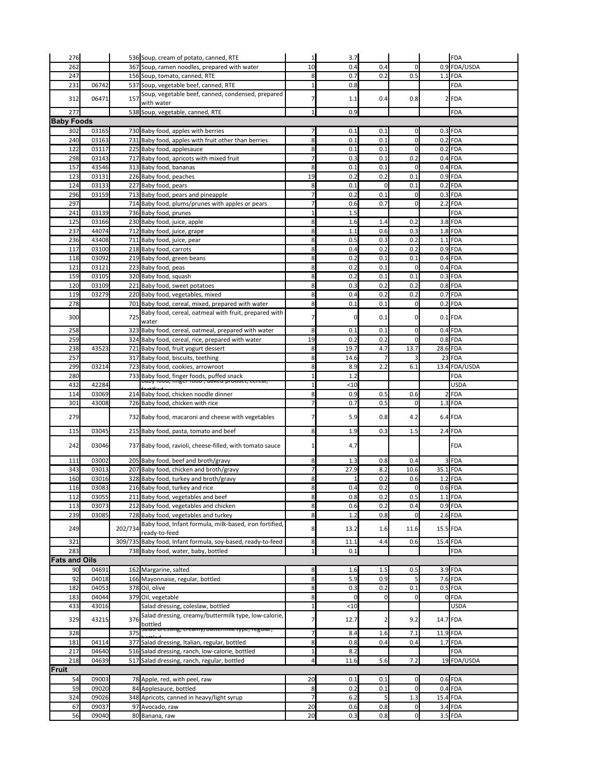| 276                  |       |         | 536 Soup, cream of potato, canned, RTE                                                     | $1\vert$       | 3.7      |                |                | <b>FDA</b>    |
|----------------------|-------|---------|--------------------------------------------------------------------------------------------|----------------|----------|----------------|----------------|---------------|
| 262                  |       |         | 367 Soup, ramen noodles, prepared with water                                               | 10             | 0.4      | 0.4            | 0              | 0.9 FDA/USDA  |
| 247                  |       |         | 156 Soup, tomato, canned, RTE                                                              | 8 <sup>1</sup> | 0.7      | 0.2            | 0.5            | $1.1$ FDA     |
| 231                  | 06742 |         | 537 Soup, vegetable beef, canned, RTE                                                      | 1              | 0.8      |                |                | <b>FDA</b>    |
|                      |       |         | Soup, vegetable beef, canned, condensed, prepared                                          |                |          |                |                |               |
| 312                  | 06471 | 157     | with water                                                                                 | 7              | 1.1      | 0.4            | 0.8            | $2$ FDA       |
| 277                  |       |         | 538 Soup, vegetable, canned, RTE                                                           | $\mathbf{1}$   | 0.9      |                |                | <b>FDA</b>    |
| <b>Baby Foods</b>    |       |         |                                                                                            |                |          |                |                |               |
| 302                  | 03165 |         | 730 Baby food, apples with berries                                                         |                | 0.1      | 0.1            | 0              | $0.3$ FDA     |
| 240                  | 03163 |         | 731 Baby food, apples with fruit other than berries                                        | 8 <sup>1</sup> | 0.1      | 0.1            | 0              | $0.2$ FDA     |
| 122                  | 03117 |         | 225 Baby food, applesauce                                                                  | 8              | 0.1      | 0.1            | 0              | $0.2$ FDA     |
| 298                  | 03143 |         | 717 Baby food, apricots with mixed fruit                                                   | $\overline{7}$ | 0.3      | 0.1            | 0.2            | $0.4$ FDA     |
| 157                  | 43546 |         | 313 Baby food, bananas                                                                     | 8              | 0.1      | 0.1            | 0              | $0.4$ FDA     |
| 123                  | 03131 |         | 226 Baby food, peaches                                                                     | 19             | 0.2      | 0.2            | 0.1            | $0.9$ FDA     |
| 124                  | 03133 |         | 227 Baby food, pears                                                                       | 8              | 0.1      | $\overline{0}$ | 0.1            | $0.2$ FDA     |
| 296                  | 03159 |         | 713 Baby food, pears and pineapple                                                         | 7              | 0.2      | 0.1            | 0              | $0.3$ FDA     |
| 297                  |       |         | 714 Baby food, plums/prunes with apples or pears                                           | 7              | 0.6      | 0.7            | 0              | $2.2$ FDA     |
| 241                  | 03139 |         | 736 Baby food, prunes                                                                      | $\mathbf{1}$   | 1.5      |                |                | <b>FDA</b>    |
| 125                  | 03166 |         | 230 Baby food, juice, apple                                                                | 8              | 1.6      | 1.4            | 0.2            | $3.8$ FDA     |
| 237                  | 44074 |         | 712 Baby food, juice, grape                                                                | 8              | 1.1      | 0.6            | 0.3            | $1.8$ FDA     |
| 236                  | 43408 |         | 711 Baby food, juice, pear                                                                 | 8              | 0.5      | 0.3            | 0.2            | $1.1$ FDA     |
| 117                  | 03100 |         | 218 Baby food, carrots                                                                     | 8              | 0.4      | 0.2            | 0.2            | $0.9$ FDA     |
| 118                  | 03092 |         | 219 Baby food, green beans                                                                 | 8              | 0.2      | 0.1            | 0.1            | $0.4$ FDA     |
| 121                  | 03121 |         | 223 Baby food, peas                                                                        | 8              | 0.2      | 0.1            | 0              | $0.4$ FDA     |
| 159                  | 03105 |         | 320 Baby food, squash                                                                      | 8              | 0.2      | 0.1            | 0.1            | $0.3$ FDA     |
| 120                  | 03109 |         | 221 Baby food, sweet potatoes                                                              | 8 <sup>1</sup> | 0.3      | 0.2            | 0.2            | $0.8$ FDA     |
| 119                  | 03279 |         | 220 Baby food, vegetables, mixed                                                           | 8              | 0.4      | 0.2            | 0.2            | $0.7$ FDA     |
| 278                  |       |         | 701 Baby food, cereal, mixed, prepared with water                                          | 8 <sup>1</sup> | 0.1      | 0.1            | 0              | $0.2$ FDA     |
|                      |       |         | Baby food, cereal, oatmeal with fruit, prepared with                                       |                |          |                |                |               |
| 300                  |       | 725     | water                                                                                      | 7              |          | 0.1            | 01             | $0.1$ FDA     |
| 258                  |       |         | 323 Baby food, cereal, oatmeal, prepared with water                                        | 8              | 0.1      | 0.1            | 0              | $0.4$ FDA     |
| 259                  |       |         | 324 Baby food, cereal, rice, prepared with water                                           | 19             | 0.2      | 0.2            | 0              | $0.8$ FDA     |
| 238                  | 43523 |         | 721 Baby food, fruit yogurt dessert                                                        | 8              | 19.7     | 4.7            | 13.7           | 28.6 FDA      |
| 257                  |       |         | 317 Baby food, biscuits, teething                                                          | 8 <sup>1</sup> | 14.6     |                |                | 23 FDA        |
| 299                  | 03214 |         | 723 Baby food, cookies, arrowroot                                                          | 8              | 8.9      | 2.2            | 6.1            | 13.4 FDA/USDA |
| 280                  |       |         | 733 Baby food, finger foods, puffed snack<br>papy rood, miger rood, baked product, cereal, | $\mathbf{1}$   | 1.2      |                |                | <b>FDA</b>    |
| 432                  | 42284 |         |                                                                                            | $\mathbf{1}$   | < 10     |                |                | <b>USDA</b>   |
| 114                  | 03069 |         | 214 Baby food, chicken noodle dinner                                                       | 8              | 0.9      | 0.5            | 0.6            | $2$ FDA       |
| 301                  | 43008 |         | 726 Baby food, chicken with rice                                                           |                | 0.7      | 0.5            | 0              | $1.3$ FDA     |
|                      |       |         |                                                                                            |                |          |                |                |               |
| 279                  |       |         | 732 Baby food, macaroni and cheese with vegetables                                         |                | 5.9      | 0.8            | 4.2            | $6.4$ FDA     |
| 115                  | 03045 |         | 215 Baby food, pasta, tomato and beef                                                      | 8 <sup>1</sup> | 1.9      | 0.3            | 1.5            | $2.4$ FDA     |
|                      |       |         |                                                                                            |                |          |                |                |               |
| 242                  | 03046 |         | 737 Baby food, ravioli, cheese-filled, with tomato sauce                                   | 1              | 4.7      |                |                | <b>FDA</b>    |
| 111                  | 03002 |         | 205 Baby food, beef and broth/gravy                                                        | 8 <sup>1</sup> | 1.3      | 0.8            | 0.4            | 3 FDA         |
| 343                  | 03013 |         | 207 Baby food, chicken and broth/gravy                                                     |                | 27.9     | 8.2            | 10.6           | 35.1 FDA      |
| 160                  | 03016 |         | 328 Baby food, turkey and broth/gravy                                                      | 8              |          | 0.2            | 0.6            | $1.2$ FDA     |
| 116                  | 03083 |         | 216 Baby food, turkey and rice                                                             | 8 <sup>1</sup> | 0.4      | 0.2            | 0              | $0.6$ FDA     |
| 112                  | 03055 |         | 211 Baby food, vegetables and beef                                                         | 8 <sup>1</sup> | 0.8      | 0.2            | 0.5            | $1.1$ FDA     |
| 113                  | 03073 |         | 212 Baby food, vegetables and chicken                                                      | 8              | 0.6      | 0.2            | 0.4            | $0.9$ FDA     |
| 239                  | 03085 |         | 728 Baby food, vegetables and turkey                                                       | 8 <sup>1</sup> | 1.2      | 0.8            | 0              | $2.6$ FDA     |
|                      |       |         | Baby food, Infant formula, milk-based, iron fortified,                                     |                |          |                |                |               |
| 249                  |       | 202/734 | ready-to-feed                                                                              | 8              | 13.2     | 1.6            | 11.6           | 15.5 FDA      |
| 321                  |       |         | 309/735 Baby food, Infant formula, soy-based, ready-to-feed                                | 8 <sup>1</sup> | 11.1     | 4.4            | 0.6            | 15.4 FDA      |
| 283                  |       |         | 738 Baby food, water, baby, bottled                                                        | $\mathbf{1}$   | 0.1      |                |                | <b>FDA</b>    |
| <b>Fats and Oils</b> |       |         |                                                                                            |                |          |                |                |               |
| 90                   | 04691 |         | 162 Margarine, salted                                                                      | 8 <sup>1</sup> | 1.6      | 1.5            | 0.5            | $3.9$ FDA     |
| 92                   | 04018 |         | 166 Mayonnaise, regular, bottled                                                           | 8              | 5.9      | 0.9            |                | $7.6$ FDA     |
| 182                  | 04053 |         | 378 Oil, olive                                                                             | 8              | 0.3      | 0.2            | 0.1            | $0.5$ FDA     |
| 183                  | 04044 |         | 379 Oil, vegetable                                                                         | 8 <sup>l</sup> | $\Omega$ | $\Omega$       | 0l             | 0FDA          |
| 433                  | 43016 |         | Salad dressing, coleslaw, bottled                                                          | $\mathbf{1}$   | < 10     |                |                | <b>USDA</b>   |
|                      |       |         | Salad dressing, creamy/buttermilk type, low-calorie,                                       |                |          |                |                |               |
| 329                  | 43215 | 376     | bottled                                                                                    | 7              | 12.7     |                | 9.2            | 14.7 FDA      |
| 328                  |       | 375     | Salau uressing, creamy/buttermik type, regular,                                            | $\overline{7}$ | 8.4      | 1.6            | 7.1            | 11.9 FDA      |
| 181                  | 04114 |         | 377 Salad dressing, Italian, regular, bottled                                              | 8              | 0.8      | 0.4            | 0.4            | $1.7$ FDA     |
| 217                  | 04640 |         | 516 Salad dressing, ranch, low-calorie, bottled                                            | $\mathbf{1}$   | 8.2      |                |                | <b>FDA</b>    |
| 218                  | 04639 |         | 517 Salad dressing, ranch, regular, bottled                                                | $\overline{4}$ | 11.6     | 5.6            | 7.2            | 19 FDA/USDA   |
| Fruit                |       |         |                                                                                            |                |          |                |                |               |
| 54                   | 09003 |         | 78 Apple, red, with peel, raw                                                              | 20             | 0.1      | 0.1            | 0              | $0.6$ FDA     |
| 59                   | 09020 |         | 84 Applesauce, bottled                                                                     | 8              | 0.2      | 0.1            | 0              | $0.4$ FDA     |
| 324                  | 09026 |         | 348 Apricots, canned in heavy/light syrup                                                  | $\overline{7}$ | 6.2      | 5              | 1.3            | 15.4 FDA      |
| 67                   | 09037 |         | 97 Avocado, raw                                                                            | 20             | 0.6      | 0.8            | $\overline{0}$ | $3.4$ FDA     |
| 56                   | 09040 |         | 80 Banana, raw                                                                             | 20             | 0.3      | 0.8            | $\overline{0}$ | $3.5$ FDA     |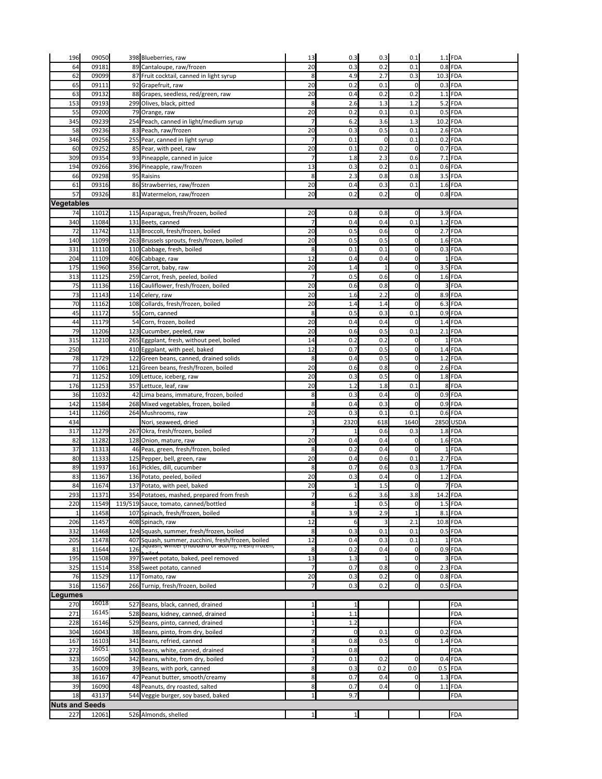| 196                          | 09050          |     | 398 Blueberries, raw                                                                                                                | 13                   | 0.3        | 0.3          | 0.1                        | $1.1$ FDA              |
|------------------------------|----------------|-----|-------------------------------------------------------------------------------------------------------------------------------------|----------------------|------------|--------------|----------------------------|------------------------|
| 64                           | 09181          |     | 89 Cantaloupe, raw/frozen                                                                                                           | 20                   | 0.3        | 0.2          | 0.1                        | $0.8$ FDA              |
| 62                           | 09099          |     | 87 Fruit cocktail, canned in light syrup                                                                                            | 8                    | 4.9        | 2.7          | 0.3                        | 10.3 FDA               |
| 65                           | 09111          |     | 92 Grapefruit, raw                                                                                                                  | 20                   | 0.2        | 0.1          | $\overline{0}$             | $0.3$ FDA              |
| 63                           | 09132          |     | 88 Grapes, seedless, red/green, raw                                                                                                 | 20                   | 0.4        | 0.2          | 0.2                        | $1.1$ FDA              |
| 153                          | 09193          |     | 299 Olives, black, pitted                                                                                                           | 8                    | 2.6        | 1.3          | 1.2                        | $5.2$ FDA              |
| 55                           | 09200          |     | 79 Orange, raw                                                                                                                      | 20                   | 0.2        | 0.1          | 0.1                        | $0.5$ FDA              |
| 345                          | 09239          |     | 254 Peach, canned in light/medium syrup                                                                                             | $\overline{7}$       | 6.2        | 3.6          | 1.3                        | 10.2 FDA               |
| 58                           | 09236          |     | 83 Peach, raw/frozen                                                                                                                | 20                   | 0.3        | 0.5          | 0.1                        | $2.6$ FDA              |
| 346                          | 09256          |     | 255 Pear, canned in light syrup                                                                                                     | 7                    | 0.1        |              | 0.1                        | $0.2$ FDA              |
| 60                           | 09252          |     | 85 Pear, with peel, raw                                                                                                             | 20<br>$\overline{7}$ | 0.1        | 0.2          | $\overline{0}$             | $0.7$ FDA              |
| 309<br>194                   | 09354<br>09266 |     | 93 Pineapple, canned in juice<br>396 Pineapple, raw/frozen                                                                          | 13                   | 1.8<br>0.3 | 2.3<br>0.2   | 0.6<br>0.1                 | $7.1$ FDA<br>$0.6$ FDA |
| 66                           | 09298          |     | 95 Raisins                                                                                                                          | 8                    | 2.3        | 0.8          | 0.8                        | $3.5$ FDA              |
| 61                           | 09316          |     | 86 Strawberries, raw/frozen                                                                                                         | 20                   | 0.4        | 0.3          | 0.1                        | $1.6$ FDA              |
| 57                           | 09326          |     | 81 Watermelon, raw/frozen                                                                                                           | 20                   | 0.2        | 0.2          | $\overline{0}$             | $0.8$ FDA              |
| Vegetables                   |                |     |                                                                                                                                     |                      |            |              |                            |                        |
| 74                           | 11012          |     | 115 Asparagus, fresh/frozen, boiled                                                                                                 | 20                   | 0.8        | 0.8          | $\overline{0}$             | $3.9$ FDA              |
| 340                          | 11084          |     | 131 Beets, canned                                                                                                                   | $\overline{7}$       | 0.4        | 0.4          | 0.1                        | $1.2$ FDA              |
| 72                           | 11742          |     | 113 Broccoli, fresh/frozen, boiled                                                                                                  | 20                   | 0.5        | 0.6          | 0                          | $2.7$ FDA              |
| 140                          | 11099          |     | 263 Brussels sprouts, fresh/frozen, boiled                                                                                          | 20                   | 0.5        | 0.5          | $\mathbf 0$                | $1.6$ FDA              |
| 331                          | 11110          |     | 110 Cabbage, fresh, boiled                                                                                                          | 8                    | 0.1        | 0.1          | $\mathbf 0$                | $0.3$ FDA              |
| 204                          | 11109          |     | 406 Cabbage, raw                                                                                                                    | 12                   | 0.4        | 0.4          | $\mathbf 0$                | $1$ FDA                |
| 175                          | 11960          |     | 356 Carrot, baby, raw                                                                                                               | 20                   | 1.4        |              | $\mathbf 0$                | $3.5$ FDA              |
| 313                          | 11125          |     | 259 Carrot, fresh, peeled, boiled                                                                                                   | $\overline{7}$       | 0.5        | 0.6          | $\overline{0}$             | $1.6$ FDA              |
| 75                           | 11136          |     | 116 Cauliflower, fresh/frozen, boiled                                                                                               | 20                   | 0.6        | 0.8          | $\mathbf 0$                | 3 FDA                  |
| 73                           | 11143          |     | 114 Celery, raw                                                                                                                     | 20                   | 1.6        | 2.2          | $\overline{0}$             | $8.9$ FDA              |
| 70                           | 11162          |     | 108 Collards, fresh/frozen, boiled                                                                                                  | 20                   | 1.4        | 1.4          | $\mathbf 0$                | $6.3$ FDA              |
| 45<br>44                     | 11172<br>11179 |     | 55 Corn, canned<br>54 Corn, frozen, boiled                                                                                          | 8<br>20              | 0.5<br>0.4 | 0.3<br>0.4   | 0.1<br>$\overline{0}$      | $0.9$ FDA<br>$1.4$ FDA |
| 79                           | 11206          |     | 123 Cucumber, peeled, raw                                                                                                           | 20                   | 0.6        | 0.5          | 0.1                        | $2.1$ FDA              |
| 315                          | 11210          |     | 265 Eggplant, fresh, without peel, boiled                                                                                           | 14                   | 0.2        | 0.2          | 0                          | $1$ FDA                |
| 250                          |                |     | 410 Eggplant, with peel, baked                                                                                                      | 12                   | 0.7        | 0.5          | 0                          | $1.4$ FDA              |
| 78                           | 11729          |     | 122 Green beans, canned, drained solids                                                                                             | 8                    | 0.4        | 0.5          | $\overline{0}$             | $1.2$ FDA              |
| 77                           | 11061          |     | 121 Green beans, fresh/frozen, boiled                                                                                               | 20                   | 0.6        | 0.8          | 0                          | $2.6$ FDA              |
| 71                           | 11252          |     | 109 Lettuce, iceberg, raw                                                                                                           | 20                   | 0.3        | 0.5          | 0                          | $1.8$ FDA              |
| 176                          | 11253          |     | 357 Lettuce, leaf, raw                                                                                                              | 20                   | 1.2        | 1.8          | 0.1                        | 8 FDA                  |
| 36                           | 11032          |     | 42 Lima beans, immature, frozen, boiled                                                                                             | 8                    | 0.3        | 0.4          | $\overline{0}$             | $0.9$ FDA              |
| 142                          | 11584          |     | 268 Mixed vegetables, frozen, boiled                                                                                                | 8                    | 0.4        | 0.3          | $\mathbf 0$                | $\overline{0.9}$ FDA   |
| 141                          | 11260          |     | 264 Mushrooms, raw                                                                                                                  | 20                   | 0.3        | 0.1          | 0.1                        | $0.6$ FDA              |
| 434                          |                |     | Nori, seaweed, dried                                                                                                                | 3                    | 2320       | 618          | 1640                       | 2850 USDA              |
| 317                          | 11279          |     | 267 Okra, fresh/frozen, boiled                                                                                                      | $\overline{7}$       |            | 0.6          | 0.3                        | $1.8$ FDA              |
| 82<br>37                     | 11282<br>11313 |     | 128 Onion, mature, raw<br>46 Peas, green, fresh/frozen, boiled                                                                      | 20<br>8              | 0.4<br>0.2 | 0.4<br>0.4   | 0<br>0                     | $1.6$ FDA<br>$1$ FDA   |
| 80                           | 11333          |     | 125 Pepper, bell, green, raw                                                                                                        | 20                   | 0.4        | 0.6          | 0.1                        | $2.7$ FDA              |
| 89                           | 11937          |     | 161 Pickles, dill, cucumber                                                                                                         | 8                    | 0.7        | 0.6          | 0.3                        | $1.7$ FDA              |
| 83                           | 11367          |     | 136 Potato, peeled, boiled                                                                                                          | 20                   | 0.3        | 0.4          | $\overline{0}$             | $1.2$ FDA              |
| 84                           | 11674          |     | 137 Potato, with peel, baked                                                                                                        | 20                   |            | 1.5          | $\overline{0}$             | 7 FDA                  |
| 293                          | 11371          |     | 354 Potatoes, mashed, prepared from fresh                                                                                           | $\overline{7}$       | 6.2        | 3.6          | 3.8                        | 14.2 FDA               |
| 220                          | 11549          |     | 119/519 Sauce, tomato, canned/bottled                                                                                               | 8                    |            | 0.5          | $\overline{0}$             | $1.5$ FDA              |
| $\mathbf{1}$                 | 11458          |     | 107 Spinach, fresh/frozen, boiled                                                                                                   | 8                    | 3.9        | 2.9          | $\mathbf{1}$               | $8.1$ FDA              |
| 206                          | 11457          |     | 408 Spinach, raw                                                                                                                    | 12                   |            | 3            | 2.1                        | 10.8 FDA               |
| 332                          | 11468          |     | 124 Squash, summer, fresh/frozen, boiled                                                                                            | 8                    | 0.3        | 0.1          | 0.1                        | $0.5$ FDA              |
| 205                          | 11478          |     | 407 Squash, summer, zucchini, fresh/frozen, boiled<br>$\overline{\phantom{a}}$ วนุ่นasn, winter (riubbaru or acorri), iresin/nozen, | 12                   | 0.4        | 0.3          | 0.1                        | $1$ FDA                |
| 81                           | 11644          | 126 |                                                                                                                                     | 8                    | 0.2        | 0.4          | 0                          | $0.9$ FDA              |
| 195                          | 11508          |     | 397 Sweet potato, baked, peel removed                                                                                               | 13<br>$\overline{7}$ | 1.3<br>0.7 | $\mathbf{1}$ | $\mathbf 0$                | 3 FDA<br>$2.3$ FDA     |
| 325<br>76                    | 11514          |     | 358 Sweet potato, canned                                                                                                            |                      |            | 0.8          | $\mathbf 0$                |                        |
| 316                          | 11529<br>11567 |     | 117 Tomato, raw<br>266 Turnip, fresh/frozen, boiled                                                                                 | 20<br>$\overline{7}$ | 0.3<br>0.3 | 0.2<br>0.2   | $\mathbf 0$<br>$\mathbf 0$ | $0.8$ FDA<br>$0.5$ FDA |
| Legumes                      |                |     |                                                                                                                                     |                      |            |              |                            |                        |
| 270                          | 16018          |     | 527 Beans, black, canned, drained                                                                                                   | 1                    |            |              |                            | <b>FDA</b>             |
| 271                          | 16145          |     | 528 Beans, kidney, canned, drained                                                                                                  | 1                    | 1.1        |              |                            | <b>FDA</b>             |
| 228                          | 16146          |     | 529 Beans, pinto, canned, drained                                                                                                   | $\mathbf{1}$         | 1.2        |              |                            | <b>FDA</b>             |
| 304                          | 16043          |     | 38 Beans, pinto, from dry, boiled                                                                                                   | 7                    | 0          | 0.1          | $\mathbf 0$                | $0.2$ FDA              |
| 167                          | 16103          |     | 341 Beans, refried, canned                                                                                                          | 8                    | 0.8        | 0.5          | 0                          | $1.4$ FDA              |
| 272                          | 16051          |     | 530 Beans, white, canned, drained                                                                                                   |                      | 0.8        |              |                            | <b>FDA</b>             |
| 323                          | 16050          |     | 342 Beans, white, from dry, boiled                                                                                                  | $\overline{7}$       | 0.1        | 0.2          | 0                          | $0.4$ FDA              |
| 35                           | 16009          |     | 39 Beans, with pork, canned                                                                                                         | 8                    | 0.3        | 0.2          | 0.0                        | $0.5$ FDA              |
| 38                           | 16167          |     | 47 Peanut butter, smooth/creamy                                                                                                     | 8                    | 0.7        | 0.4          | 0                          | $1.3$ FDA              |
| 39                           |                |     |                                                                                                                                     |                      |            |              |                            |                        |
|                              | 16090          |     | 48 Peanuts, dry roasted, salted                                                                                                     | 8                    | 0.7        | 0.4          | $\overline{0}$             | $1.1$ FDA              |
| 18                           | 43137          |     | 544 Veggie burger, soy based, baked                                                                                                 | 1                    | 9.7        |              |                            | FDA                    |
| <b>Nuts and Seeds</b><br>227 | 12061          |     | 526 Almonds, shelled                                                                                                                | $1\overline{ }$      |            |              |                            | <b>FDA</b>             |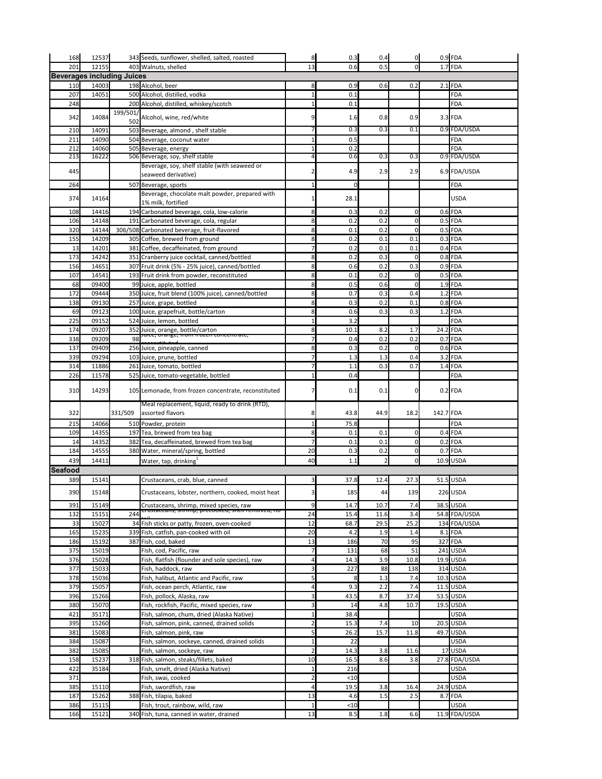| 168                               | 12537 |          | 343 Seeds, sunflower, shelled, salted, roasted       | 8 <sup>1</sup> | 0.3  | 0.4                      | $\overline{0}$ |           | $0.9$ FDA     |
|-----------------------------------|-------|----------|------------------------------------------------------|----------------|------|--------------------------|----------------|-----------|---------------|
| 201                               | 12155 |          | 403 Walnuts, shelled                                 | 13             | 0.6  | 0.5                      | $\overline{0}$ |           | $1.7$ FDA     |
| <b>Beverages including Juices</b> |       |          |                                                      |                |      |                          |                |           |               |
| 110                               | 14003 |          | 198 Alcohol, beer                                    | 8              | 0.9  | 0.6                      | 0.2            |           | $2.1$ FDA     |
| 207                               | 14051 |          | 500 Alcohol, distilled, vodka                        |                | 0.1  |                          |                |           | <b>FDA</b>    |
| 248                               |       |          | 200 Alcohol, distilled, whiskey/scotch               |                | 0.1  |                          |                |           | <b>FDA</b>    |
|                                   | 14084 | 199/501/ |                                                      | 9              |      |                          | 0.9            |           |               |
| 342                               |       | 502      | Alcohol, wine, red/white                             |                | 1.6  | 0.8                      |                |           | $3.3$ FDA     |
| 210                               | 14091 |          | 503 Beverage, almond, shelf stable                   |                | 0.3  | 0.3                      | 0.1            |           | 0.9 FDA/USDA  |
| 211                               | 14090 |          | 504 Beverage, coconut water                          |                | 0.5  |                          |                |           | <b>FDA</b>    |
| 212                               | 14060 |          | 505 Beverage, energy                                 |                | 0.2  |                          |                |           | <b>FDA</b>    |
| 213                               | 16222 |          | 506 Beverage, soy, shelf stable                      | 4              | 0.6  | 0.3                      | 0.3            |           | 0.9 FDA/USDA  |
| 445                               |       |          | Beverage, soy, shelf stable (with seaweed or         |                | 4.9  | 2.9                      | 2.9            |           | 6.9 FDA/USDA  |
|                                   |       |          | seaweed derivative)                                  |                |      |                          |                |           |               |
| 264                               |       |          | 507 Beverage, sports                                 |                |      |                          |                |           | <b>FDA</b>    |
| 374                               | 14164 |          | Beverage, chocolate malt powder, prepared with       |                | 28.1 |                          |                |           | <b>USDA</b>   |
|                                   |       |          | 1% milk, fortified                                   |                |      |                          |                |           |               |
| 108                               | 14416 |          | 194 Carbonated beverage, cola, low-calorie           | 8              | 0.3  | 0.2                      | $\mathbf 0$    |           | $0.6$ FDA     |
| 106                               | 14148 |          | 191 Carbonated beverage, cola, regular               | 8              | 0.2  | 0.2                      | $\mathbf 0$    |           | $0.5$ FDA     |
| 320                               | 14144 |          | 306/508 Carbonated beverage, fruit-flavored          | 8              | 0.1  | 0.2                      | $\mathbf 0$    |           | $0.5$ FDA     |
| 155                               | 14209 |          | 305 Coffee, brewed from ground                       | 8              | 0.2  | 0.1                      | 0.1            |           | $0.3$ FDA     |
| 13                                | 14201 |          | 381 Coffee, decaffeinated, from ground               |                | 0.2  | 0.1                      | 0.1            |           | $0.4$ FDA     |
| 173                               | 14242 |          | 351 Cranberry juice cocktail, canned/bottled         | 8              | 0.2  | 0.3                      | $\mathbf 0$    |           | $0.8$ FDA     |
| 156                               | 14651 |          | 307 Fruit drink (5% - 25% juice), canned/bottled     | 8              | 0.6  | 0.2                      | 0.3            |           | $0.9$ FDA     |
| 107                               | 14541 |          | 193 Fruit drink from powder, reconstituted           | 8              | 0.1  | 0.2                      | $\mathbf 0$    |           | $0.5$ FDA     |
| 68                                | 09400 |          | 99 Juice, apple, bottled                             | 8              | 0.5  | 0.6                      | $\mathbf 0$    |           | $1.9$ FDA     |
| 172                               | 09444 |          | 350 Juice, fruit blend (100% juice), canned/bottled  | 8              | 0.7  | 0.3                      | 0.4            |           | $1.2$ FDA     |
| 138                               | 09130 |          | 257 Juice, grape, bottled                            | 8              | 0.3  | 0.2                      | 0.1            |           | $0.8$ FDA     |
| 69                                | 09123 |          | 100 Juice, grapefruit, bottle/carton                 | 8              | 0.6  | 0.3                      | 0.3            |           | $1.2$ FDA     |
| 225                               | 09152 |          | 524 Juice, lemon, bottled                            |                | 3.2  |                          |                |           | FDA           |
| 174                               | 09207 |          | 352 Juice, orange, bottle/carton                     | 8              | 10.1 | 8.2                      | 1.7            |           | 24.2 FDA      |
| 338                               | 09209 | 98       | Juice, orange, from frozen concentrate,              |                | 0.4  | 0.2                      | 0.2            |           | $0.7$ FDA     |
| 137                               | 09409 |          | 256 Juice, pineapple, canned                         | 8              | 0.3  | 0.2                      | $\mathbf 0$    |           | $0.6$ FDA     |
| 339                               | 09294 |          | 103 Juice, prune, bottled                            |                | 1.3  | 1.3                      | 0.4            |           | $3.2$ FDA     |
| 314                               | 11886 |          | 261 Juice, tomato, bottled                           | 7              | 1.1  | 0.3                      | 0.7            |           | $1.4$ FDA     |
| 226                               | 11578 |          | 525 Juice, tomato-vegetable, bottled                 |                | 0.4  |                          |                |           | <b>FDA</b>    |
|                                   |       |          |                                                      |                |      |                          |                |           |               |
| 310                               | 14293 |          | 105 Lemonade, from frozen concentrate, reconstituted |                | 0.1  | 0.1                      | 0              |           | $0.2$ FDA     |
|                                   |       |          | Meal replacement, liquid, ready to drink (RTD),      |                |      |                          |                |           |               |
| 322                               |       | 331/509  | assorted flavors                                     | 8              | 43.8 | 44.9                     | 18.2           | 142.7 FDA |               |
| 215                               | 14066 |          | 510 Powder, protein                                  |                | 75.8 |                          |                |           | <b>FDA</b>    |
| 109                               | 14355 |          | 197 Tea, brewed from tea bag                         | 8              | 0.1  | 0.1                      | $\mathbf 0$    |           | $0.4$ FDA     |
| 14                                | 14352 |          | 382 Tea, decaffeinated, brewed from tea bag          |                | 0.1  | 0.1                      | $\mathbf 0$    |           | $0.2$ FDA     |
| 184                               | 14555 |          | 380 Water, mineral/spring, bottled                   | 20             | 0.3  | 0.2                      | $\mathbf 0$    |           | $0.7$ FDA     |
| 439                               | 14411 |          | Water, tap, drinking <sup>1</sup>                    | 40             | 1.1  | $\overline{\phantom{a}}$ | $\overline{0}$ |           | 10.9 USDA     |
| <b>Seafood</b>                    |       |          |                                                      |                |      |                          |                |           |               |
| 389                               | 15141 |          | Crustaceans, crab, blue, canned                      | 3              | 37.8 | 12.4                     | 27.3           |           | $51.5$ USDA   |
|                                   |       |          |                                                      |                |      |                          |                |           |               |
| 390                               | 15148 |          | Crustaceans, lobster, northern, cooked, moist heat   | 3              | 185  | 44                       | 139            |           | 226 USDA      |
| 391                               | 15149 |          | Crustaceans, shrimp, mixed species, raw              | 9              | 14.7 | 10.7                     | 7.4            |           | 38.5 USDA     |
| 132                               | 15151 | 244      | crustaceans, smimip, precooked, silen removed, no    | 24             | 15.4 | 11.6                     | 3.4            |           | 54.8 FDA/USDA |
| 33                                | 15027 |          | 34 Fish sticks or patty, frozen, oven-cooked         | 12             | 68.7 | 29.5                     | 25.2           |           | 134 FDA/USDA  |
| 165                               | 15235 |          | 339 Fish, catfish, pan-cooked with oil               | 20             | 4.2  | 1.9                      | 1.4            |           | $8.1$ FDA     |
| 186                               | 15192 |          | 387 Fish, cod, baked                                 | 13             | 186  | 70                       | 95             |           | 327 FDA       |
| 375                               | 15019 |          | Fish, cod, Pacific, raw                              |                | 131  | 68                       | 51             |           | 241 USDA      |
| 376                               | 15028 |          | Fish, flatfish (flounder and sole species), raw      | 4              | 14.3 | 3.9                      | 10.8           |           | 19.9 USDA     |
| 377                               | 15033 |          | Fish, haddock, raw                                   |                | 227  | 88                       | 138            |           | 314 USDA      |
| 378                               | 15036 |          | Fish, halibut, Atlantic and Pacific, raw             | 5              | 8    | 1.3                      | 7.4            |           | $10.3$ USDA   |
| 379                               | 15057 |          | Fish, ocean perch, Atlantic, raw                     | 4              | 9.3  | 2.2                      | 7.4            |           | $11.5$ USDA   |
| 396                               | 15266 |          | Fish, pollock, Alaska, raw                           | $\overline{3}$ | 43.5 | 8.7                      | 37.4           |           | 53.5 USDA     |
| 380                               | 15070 |          | Fish, rockfish, Pacific, mixed species, raw          | 3              | 14   | 4.8                      | 10.7           |           | $19.5$ USDA   |
| 421                               | 35171 |          | Fish, salmon, chum, dried (Alaska Native)            | $1\vert$       | 38.4 |                          |                |           | <b>USDA</b>   |
| 395                               | 15260 |          | Fish, salmon, pink, canned, drained solids           | $\overline{2}$ | 15.3 | 7.4                      | 10             |           | 20.5 USDA     |
| 381                               | 15083 |          | Fish, salmon, pink, raw                              | 5              | 26.2 | 15.7                     | 11.8           |           | 49.7 USDA     |
| 384                               | 15087 |          | Fish, salmon, sockeye, canned, drained solids        | $\mathbf{1}$   | 22   |                          |                |           | <b>USDA</b>   |
| 382                               | 15085 |          | Fish, salmon, sockeye, raw                           | $\overline{2}$ | 14.3 | 3.8                      | 11.6           |           | 17 USDA       |
| 158                               | 15237 |          | 318 Fish, salmon, steaks/fillets, baked              | 10             | 16.5 | 8.6                      | 3.8            |           | 27.8 FDA/USDA |
| 422                               | 35184 |          | Fish, smelt, dried (Alaska Native)                   | 1              | 216  |                          |                |           | <b>USDA</b>   |
| 371                               |       |          | Fish, swai, cooked                                   | $\overline{2}$ | < 10 |                          |                |           | <b>USDA</b>   |
| 385                               | 15110 |          | Fish, swordfish, raw                                 | 4              | 19.5 | 3.8                      | 16.4           |           | 24.9 USDA     |
| 187                               | 15262 |          | 388 Fish, tilapia, baked                             | 13             | 4.6  | 1.5                      | 2.5            |           | 8.7 FDA       |
| 386                               | 15115 |          | Fish, trout, rainbow, wild, raw                      | 1              | < 10 |                          |                |           | <b>USDA</b>   |
| 166                               | 15121 |          | 340 Fish, tuna, canned in water, drained             | 13             | 8.5  | 1.8                      | 6.6            |           | 11.9 FDA/USDA |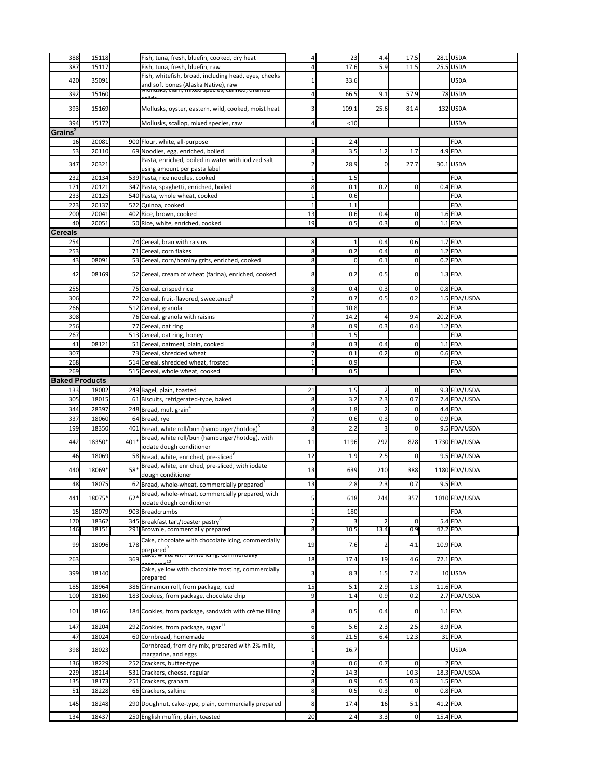| 388                   | 15118          |       | Fish, tuna, fresh, bluefin, cooked, dry heat                                           |                | 23         | 4.4  | 17.5           |            | $28.1$ USDA             |
|-----------------------|----------------|-------|----------------------------------------------------------------------------------------|----------------|------------|------|----------------|------------|-------------------------|
| 387                   | 15117          |       | Fish, tuna, fresh, bluefin, raw                                                        | Δ              | 17.6       | 5.9  | 11.5           |            | $25.5$ USDA             |
| 420                   | 35091          |       | Fish, whitefish, broad, including head, eyes, cheeks                                   |                | 33.6       |      |                |            | <b>USDA</b>             |
|                       |                |       | and soft bones (Alaska Native), raw<br>iviunusis, ciam, mixeu species, canneu, uranieu |                |            |      |                |            |                         |
| 392                   | 15160          |       |                                                                                        |                | 66.5       | 9.1  | 57.9           |            | 78 USDA                 |
| 393                   | 15169          |       | Mollusks, oyster, eastern, wild, cooked, moist heat                                    |                | 109.1      | 25.6 | 81.4           |            | 132 USDA                |
|                       |                |       |                                                                                        |                |            |      |                |            |                         |
| 394                   | 15172          |       | Mollusks, scallop, mixed species, raw                                                  |                | < 10       |      |                |            | <b>USDA</b>             |
| Grains <sup>2</sup>   |                |       |                                                                                        |                |            |      |                |            |                         |
| 16<br>53              | 20081<br>20110 |       | 900 Flour, white, all-purpose<br>69 Noodles, egg, enriched, boiled                     | 8              | 2.4<br>3.5 | 1.2  | 1.7            |            | <b>FDA</b><br>$4.9$ FDA |
|                       |                |       | Pasta, enriched, boiled in water with iodized salt                                     |                |            |      |                |            |                         |
| 347                   | 20321          |       | using amount per pasta label                                                           |                | 28.9       |      | 27.7           |            | 30.1 USDA               |
| 232                   | 20134          |       | 539 Pasta, rice noodles, cooked                                                        |                | 1.5        |      |                |            | <b>FDA</b>              |
| 171                   | 20121          |       | 347 Pasta, spaghetti, enriched, boiled                                                 | 8              | 0.1        | 0.2  | $\mathbf 0$    |            | $0.4$ FDA               |
| 233                   | 20125          |       | 540 Pasta, whole wheat, cooked                                                         |                | 0.6        |      |                |            | <b>FDA</b>              |
| 223                   | 20137          |       | 522 Quinoa, cooked                                                                     |                | 1.1        |      |                |            | FDA                     |
| 200                   | 20041          |       | 402 Rice, brown, cooked                                                                | 13             | 0.6        | 0.4  | $\overline{0}$ |            | $1.6$ FDA               |
| 40                    | 20051          |       | 50 Rice, white, enriched, cooked                                                       | 19             | 0.5        | 0.3  | 0              |            | $1.1$ FDA               |
| <b>Cereals</b>        |                |       |                                                                                        |                |            |      |                |            |                         |
| 254                   |                |       | 74 Cereal, bran with raisins                                                           | 8              |            | 0.4  | 0.6            |            | $1.7$ FDA               |
| 253                   |                |       | 71 Cereal, corn flakes                                                                 | 8              | 0.2        | 0.4  | 0              |            | $1.2$ FDA               |
| 43                    | 08091          |       | 53 Cereal, corn/hominy grits, enriched, cooked                                         | 8              |            | 0.1  | $\Omega$       |            | $0.2$ FDA               |
| 42                    | 08169          |       | 52 Cereal, cream of wheat (farina), enriched, cooked                                   |                | 0.2        | 0.5  | $\overline{0}$ |            | $1.3$ FDA               |
|                       |                |       |                                                                                        |                |            |      |                |            |                         |
| 255                   |                |       | 75 Cereal, crisped rice                                                                | 8              | 0.4        | 0.3  | $\overline{0}$ |            | $0.8$ FDA               |
| 306                   |                |       | Cereal, fruit-flavored, sweetened <sup>3</sup>                                         |                | 0.7        | 0.5  | 0.2            |            | 1.5 FDA/USDA            |
| 266                   |                |       | 512 Cereal, granola                                                                    |                | 10.8       |      |                |            | <b>FDA</b>              |
| 308                   |                |       | 76 Cereal, granola with raisins                                                        |                | 14.2       |      | 9.4            | $20.2$ FDA |                         |
| 256                   |                |       | 77 Cereal, oat ring                                                                    | ଧ              | 0.9        | 0.3  | 0.4            |            | $1.2$ FDA               |
| 267                   |                |       | 513 Cereal, oat ring, honey                                                            |                | 1.5        |      |                |            | <b>FDA</b>              |
| 41                    | 08121          |       | 51 Cereal, oatmeal, plain, cooked                                                      | 8              | 0.3        | 0.4  | $\mathbf 0$    |            | $1.1$ FDA               |
| 307                   |                |       | 73 Cereal, shredded wheat                                                              |                | 0.1        | 0.2  | 0              |            | $0.6$ FDA               |
| 268<br>269            |                |       | 514 Cereal, shredded wheat, frosted<br>515 Cereal, whole wheat, cooked                 |                | 0.9<br>0.5 |      |                |            | FDA<br><b>FDA</b>       |
|                       |                |       |                                                                                        |                |            |      |                |            |                         |
|                       |                |       |                                                                                        |                |            |      |                |            |                         |
| <b>Baked Products</b> |                |       |                                                                                        |                |            |      |                |            |                         |
| 133                   | 18002          |       | 249 Bagel, plain, toasted                                                              | 21             | 1.5        |      | 0              |            | 9.3 FDA/USDA            |
| 305                   | 18015          |       | 61 Biscuits, refrigerated-type, baked                                                  | 8              | 3.2        | 2.3  | 0.7            |            | 7.4 FDA/USDA            |
| 344                   | 28397          |       | 248 Bread, multigrain <sup>4</sup>                                                     |                | 1.8        |      | $\mathbf 0$    |            | $4.4$ FDA               |
| 337                   | 18060          |       | 64 Bread, rye                                                                          |                | 0.6        | 0.3  | 0              |            | $0.9$ FDA               |
| 199                   | 18350          |       | 401 Bread, white roll/bun (hamburger/hotdog) <sup>5</sup>                              | 8              | 2.2        |      | $\Omega$       |            | 9.5 FDA/USDA            |
| 442                   | 18350*         | 401*  | Bread, white roll/bun (hamburger/hotdog), with                                         | 11             | 1196       | 292  | 828            |            | 1730 FDA/USDA           |
|                       |                |       | iodate dough conditioner                                                               |                |            |      |                |            |                         |
| 46                    | 18069          |       | 58 Bread, white, enriched, pre-sliced <sup>6</sup>                                     | 12             | 1.9        | 2.5  | 0              |            | 9.5 FDA/USDA            |
| 440                   | 18069*         | 58*   | Bread, white, enriched, pre-sliced, with iodate                                        | 13             | 639        | 210  | 388            |            | 1180 FDA/USDA           |
|                       |                |       | dough conditioner                                                                      |                |            |      |                |            |                         |
| 48                    | 18075          |       | 62 Bread, whole-wheat, commercially prepared <sup>7</sup>                              | 13             | 2.8        | 2.3  | 0.7            |            | $9.5$ FDA               |
| 441                   | 18075*         | $62*$ | Bread, whole-wheat, commercially prepared, with<br>iodate dough conditioner            |                | 618        | 244  | 357            |            | 1010 FDA/USDA           |
| 15                    | 18079          |       | 903 Breadcrumbs                                                                        |                | 180        |      |                |            | <b>FDA</b>              |
| 170                   | 18362          |       | 345 Breakfast tart/toaster pastry <sup>8</sup>                                         |                |            |      | $\Omega$       |            | $5.4$ FDA               |
| 146                   | 18151          |       | 291 Brownie, commercially prepared                                                     |                | 10.5       | 13.4 | 0.9            |            | 42.2 FDA                |
|                       |                |       | Cake, chocolate with chocolate icing, commercially                                     |                |            |      |                |            |                         |
| 99                    | 18096          | 178   | prepared                                                                               | 19             | 7.6        |      | 4.1            | 10.9 FDA   |                         |
| 263                   |                | 369   | Care, <del>writte with writte icing, commercially</del>                                | 18             | 17.4       | 19   | 4.6            | 72.1 FDA   |                         |
|                       |                |       | Cake, yellow with chocolate frosting, commercially                                     |                |            |      |                |            |                         |
| 399                   | 18140          |       | prepared                                                                               |                | 8.3        | 1.5  | 7.4            |            | 10 USDA                 |
| 185                   | 18964          |       | 386 Cinnamon roll, from package, iced                                                  | 15             | 5.1        | 2.9  | 1.3            | 11.6 FDA   |                         |
| 100                   | 18160          |       | 183 Cookies, from package, chocolate chip                                              | 9              | 1.4        | 0.9  | 0.2            |            | 2.7 FDA/USDA            |
| 101                   | 18166          |       | 184 Cookies, from package, sandwich with crème filling                                 | 8              | 0.5        | 0.4  | $\overline{0}$ |            | $1.1$ FDA               |
| 147                   | 18204          |       |                                                                                        | 6              | 5.6        | 2.3  | 2.5            |            | 8.9 FDA                 |
| 47                    | 18024          |       | 292 Cookies, from package, sugar <sup>11</sup><br>60 Cornbread, homemade               | 8              | 21.5       | 6.4  | 12.3           |            | 31 FDA                  |
|                       |                |       | Cornbread, from dry mix, prepared with 2% milk,                                        |                |            |      |                |            |                         |
| 398                   | 18023          |       | margarine, and eggs                                                                    |                | 16.7       |      |                |            | <b>USDA</b>             |
| 136                   | 18229          |       | 252 Crackers, butter-type                                                              | 8              | 0.6        | 0.7  | $\overline{0}$ |            | $2$ FDA                 |
| 229                   | 18214          |       | 531 Crackers, cheese, regular                                                          | $\overline{2}$ | 14.3       |      | 10.3           |            | 18.3 FDA/USDA           |
| 135                   | 18173          |       | 251 Crackers, graham                                                                   | 8              | 0.9        | 0.5  | 0.3            |            | $1.5$ FDA               |
| 51                    | 18228          |       | 66 Crackers, saltine                                                                   | 8              | 0.5        | 0.3  | $\overline{0}$ |            | $0.8$ FDA               |
| 145                   | 18248          |       | 290 Doughnut, cake-type, plain, commercially prepared                                  | 8              | 17.4       | 16   | 5.1            | 41.2 FDA   |                         |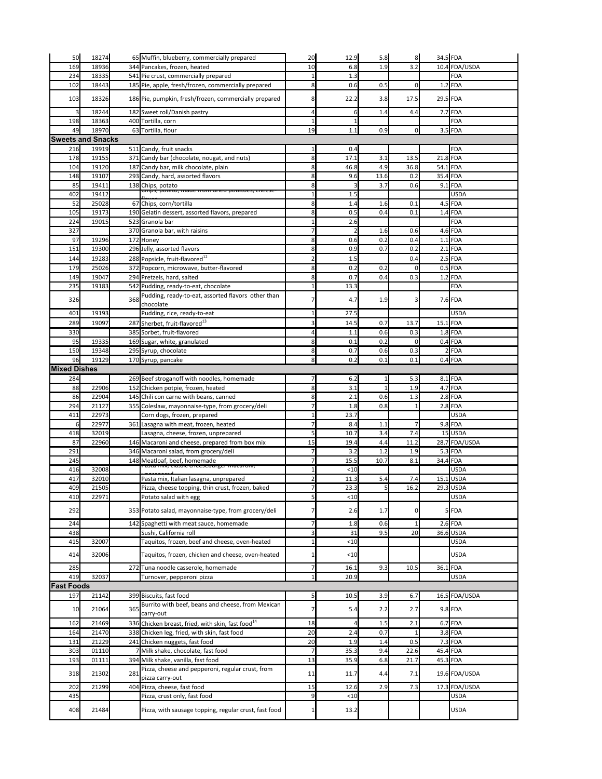| 50                       | 18274          |     | 65 Muffin, blueberry, commercially prepared                                           | 20             | 12.9         | 5.8         | 8                  |            | 34.5 FDA               |
|--------------------------|----------------|-----|---------------------------------------------------------------------------------------|----------------|--------------|-------------|--------------------|------------|------------------------|
| 169                      | 18936          |     | 344 Pancakes, frozen, heated                                                          | 10             | 6.8          | 1.9         | 3.2                |            | 10.4 FDA/USDA          |
| 234                      | 18335          |     | 541 Pie crust, commercially prepared                                                  | $\mathbf{1}$   | 1.3          |             |                    |            | <b>FDA</b>             |
| 102                      | 18443          |     | 185 Pie, apple, fresh/frozen, commercially prepared                                   | 8              | 0.6          | 0.5         | 0                  |            | $1.2$ FDA              |
| 103                      | 18326          |     | 186 Pie, pumpkin, fresh/frozen, commercially prepared                                 | 8              | 22.2         | 3.8         | 17.5               |            | 29.5 FDA               |
| 3                        | 18244          |     | 182 Sweet roll/Danish pastry                                                          | 4              |              | 1.4         | 4.4                |            | 7.7 FDA                |
| 198                      | 18363          |     | 400 Tortilla, corn                                                                    | 1              |              |             |                    |            | <b>FDA</b>             |
| 49                       | 18970          |     | 63 Tortilla, flour                                                                    | 19             | 1.1          | 0.9         | $\overline{0}$     |            | $3.5$ FDA              |
| <b>Sweets and Snacks</b> |                |     |                                                                                       |                |              |             |                    |            |                        |
| 216                      | 19919          |     | 511 Candy, fruit snacks                                                               |                | 0.4          |             |                    |            | FDA                    |
| 178                      | 19155          |     | 371 Candy bar (chocolate, nougat, and nuts)                                           | 8              | 17.1         | 3.1         | 13.5               | $21.8$ FDA |                        |
| 104                      | 19120          |     | 187 Candy bar, milk chocolate, plain                                                  | 8              | 46.8         | 4.9         | 36.8               |            | $54.1$ FDA             |
| 148<br>85                | 19107<br>19411 |     | 293 Candy, hard, assorted flavors<br>138 Chips, potato                                | 8<br>8         | 9.6          | 13.6<br>3.7 | 0.2<br>0.6         | 35.4 FDA   | $9.1$ FDA              |
| 402                      | 19412          |     | cmps, potato, maue nom uneu potatoes, cneese                                          |                | 1.5          |             |                    |            | <b>USDA</b>            |
| 52                       | 25028          |     | 67 Chips, corn/tortilla                                                               | 8              | 1.4          | 1.6         | 0.1                |            | $4.5$ FDA              |
| 105                      | 19173          |     | 190 Gelatin dessert, assorted flavors, prepared                                       | 8              | 0.5          | 0.4         | 0.1                |            | $1.4$ FDA              |
| 224                      | 19015          |     | 523 Granola bar                                                                       | $\mathbf{1}$   | 2.6          |             |                    |            | <b>FDA</b>             |
| 327                      |                |     | 370 Granola bar, with raisins                                                         | $\overline{7}$ |              | 1.6         | 0.6                |            | $4.6$ FDA              |
| 97                       | 19296          |     | 172 Honey                                                                             | 8              | 0.6          | 0.2         | 0.4                |            | $1.1$ FDA              |
| 151                      | 19300          |     | 296 Jelly, assorted flavors                                                           | 8              | 0.9          | 0.7         | 0.2                |            | $2.1$ FDA              |
| 144                      | 19283          |     | 288 Popsicle, fruit-flavored <sup>12</sup>                                            | $\overline{2}$ | 1.5          |             | 0.4                |            | $2.5$ FDA              |
| 179<br>149               | 25026<br>19047 |     | 372 Popcorn, microwave, butter-flavored<br>294 Pretzels, hard, salted                 | 8<br>8         | 0.2<br>0.7   | 0.2<br>0.4  | $\mathbf 0$<br>0.3 |            | $0.5$ FDA<br>$1.2$ FDA |
| 235                      | 19183          |     | 542 Pudding, ready-to-eat, chocolate                                                  |                | 13.3         |             |                    |            | <b>FDA</b>             |
|                          |                |     | Pudding, ready-to-eat, assorted flavors other than                                    |                |              |             |                    |            |                        |
| 326                      |                | 368 | chocolate                                                                             |                | 4.7          | 1.9         | 3                  |            | 7.6 FDA                |
| 401                      | 19193          |     | Pudding, rice, ready-to-eat                                                           |                | 27.5         |             |                    |            | <b>USDA</b>            |
| 289                      | 19097          |     | 287 Sherbet, fruit-flavored <sup>13</sup>                                             | $\mathbf{R}$   | 14.5         | 0.7         | 13.7               | $15.1$ FDA |                        |
| 330                      |                |     | 385 Sorbet, fruit-flavored                                                            |                | 1.1          | 0.6         | 0.3                |            | $1.8$ FDA              |
| 95                       | 19335<br>19348 |     | 169 Sugar, white, granulated<br>295 Syrup, chocolate                                  | 8<br>8         | 0.1<br>0.7   | 0.2<br>0.6  | $\mathbf 0$<br>0.3 |            | $0.4$ FDA<br>$2$ FDA   |
| 150<br>96                | 19129          |     | 170 Syrup, pancake                                                                    | 8              | 0.2          | 0.1         | 0.1                |            | $0.4$ FDA              |
| <b>Mixed Dishes</b>      |                |     |                                                                                       |                |              |             |                    |            |                        |
| 284                      |                |     | 269 Beef stroganoff with noodles, homemade                                            |                | 6.2          |             | 5.3                |            | $8.1$ FDA              |
| 88                       | 22906          |     | 152 Chicken potpie, frozen, heated                                                    | 8              | 3.1          |             | 1.9                |            | $4.7$ FDA              |
| 86                       | 22904          |     | 145 Chili con carne with beans, canned                                                | 8              | 2.1          | 0.6         | 1.3                |            | $2.8$ FDA              |
| 294                      | 21127          |     | 355 Coleslaw, mayonnaise-type, from grocery/deli                                      | 7              | 1.8          | 0.8         |                    |            | $2.8$ FDA              |
| 411                      | 22973          |     | Corn dogs, frozen, prepared                                                           |                | 23.7         |             |                    |            | <b>USDA</b>            |
| 6<br>418                 | 22977<br>32019 |     | 361 Lasagna with meat, frozen, heated                                                 |                | 8.4<br>10.7  | 1.1<br>3.4  | 7.4                |            | $9.8$ FDA<br>15 USDA   |
| 87                       | 22960          |     | Lasagna, cheese, frozen, unprepared<br>146 Macaroni and cheese, prepared from box mix | 15             | 19.4         | 4.4         | 11.2               |            | 28.7 FDA/USDA          |
| 291                      |                |     | 346 Macaroni salad, from grocery/deli                                                 |                | 3.2          | 1.2         | 1.9                |            | $5.3$ FDA              |
| 245                      |                |     | 148 Meatloaf, beef, homemade                                                          | 7              | 15.5         | 10.7        | 8.1                |            | 34.4 FDA               |
| 416                      | 32008          |     | - αδια ππλ, τιαδριτ τησσρουμηχοι πιαταιτιπι,                                          |                | < 10         |             |                    |            | <b>USDA</b>            |
| 417                      | 32010          |     | Pasta mix, Italian lasagna, unprepared                                                |                | 11.3         | 5.4         | 7.4                |            | $15.1$ USDA            |
| 409                      | 21505          |     | Pizza, cheese topping, thin crust, frozen, baked                                      |                | 23.3         |             | 16.2               |            | 29.3 USDA              |
| 410                      | 22971          |     | Potato salad with egg                                                                 | 5              | < 10         |             |                    |            | <b>USDA</b>            |
| 292                      |                |     | 353 Potato salad, mayonnaise-type, from grocery/deli                                  |                | 2.6          | 1.7         | 0                  |            | 5FDA                   |
| 244                      |                |     | 142 Spaghetti with meat sauce, homemade                                               | $\overline{7}$ | 1.8          | 0.6         | 1                  |            | $2.6$ FDA              |
| 438                      |                |     | Sushi, California roll                                                                | 3              | 31           | 9.5         | 20                 |            | 36.6 USDA              |
| 415                      | 32007          |     | Taquitos, frozen, beef and cheese, oven-heated                                        |                | < 10         |             |                    |            | <b>USDA</b>            |
| 414                      | 32006          |     | Taquitos, frozen, chicken and cheese, oven-heated                                     |                | < 10         |             |                    |            | <b>USDA</b>            |
| 285                      |                |     | 272 Tuna noodle casserole, homemade                                                   | 7              | 16.1         | 9.3         | 10.5               |            | 36.1 FDA               |
| 419                      | 32037          |     | Turnover, pepperoni pizza                                                             | $\mathbf{1}$   | 20.9         |             |                    |            | <b>USDA</b>            |
| <b>Fast Foods</b>        |                |     |                                                                                       |                |              |             |                    |            |                        |
| 197                      | 21142          |     | 399 Biscuits, fast food                                                               | 5 <sub>l</sub> | 10.5         | 3.9         | 6.7                |            | 16.5 FDA/USDA          |
| 10                       | 21064          | 365 | Burrito with beef, beans and cheese, from Mexican                                     | 7              | 5.4          | 2.2         | 2.7                |            | $9.8$ FDA              |
|                          |                |     | carry-out                                                                             |                |              |             |                    |            |                        |
| 162                      | 21469          |     | 336 Chicken breast, fried, with skin, fast food <sup>14</sup>                         | 18             |              | 1.5         | 2.1                |            | $6.7$ FDA              |
| 164                      | 21470          |     | 338 Chicken leg, fried, with skin, fast food                                          | 20             | 2.4          | 0.7         |                    |            | $3.8$ FDA              |
| 131                      | 21229          |     | 241 Chicken nuggets, fast food                                                        | 20             | 1.9          | 1.4         | 0.5                |            | $7.3$ FDA              |
| 303<br>193               | 01110<br>01111 |     | Milk shake, chocolate, fast food<br>394 Milk shake, vanilla, fast food                | 7<br>13        | 35.3<br>35.9 | 9.4<br>6.8  | 22.6<br>21.7       |            | 45.4 FDA<br>45.3 FDA   |
|                          |                |     | Pizza, cheese and pepperoni, regular crust, from                                      |                |              |             |                    |            |                        |
| 318                      | 21302          | 281 | pizza carry-out                                                                       | 11             | 11.7         | 4.4         | 7.1                |            | 19.6 FDA/USDA          |
| 202                      | 21299          |     | 404 Pizza, cheese, fast food                                                          | 15             | 12.6         | 2.9         | 7.3                |            | 17.3 FDA/USDA          |
| 435                      |                |     | Pizza, crust only, fast food                                                          | $\overline{9}$ | < 10         |             |                    |            | <b>USDA</b>            |
| 408                      | 21484          |     | Pizza, with sausage topping, regular crust, fast food                                 | 1              | 13.2         |             |                    |            | <b>USDA</b>            |
|                          |                |     |                                                                                       |                |              |             |                    |            |                        |